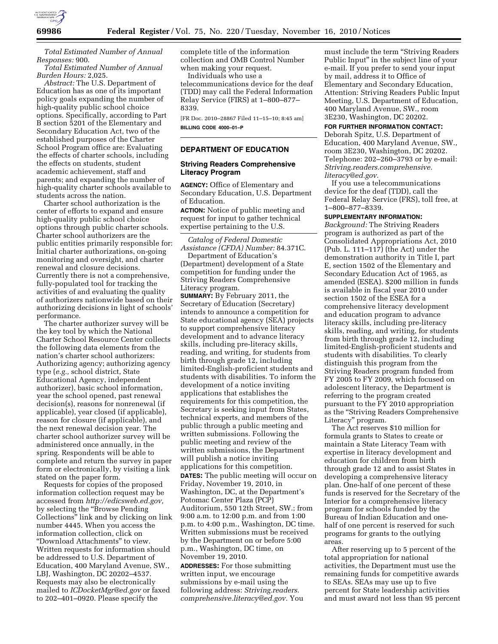

*Total Estimated Number of Annual Responses:* 900.

*Total Estimated Number of Annual Burden Hours:* 2,025.

*Abstract:* The U.S. Department of Education has as one of its important policy goals expanding the number of high-quality public school choice options. Specifically, according to Part B section 5201 of the Elementary and Secondary Education Act, two of the established purposes of the Charter School Program office are: Evaluating the effects of charter schools, including the effects on students, student academic achievement, staff and parents; and expanding the number of high-quality charter schools available to students across the nation.

Charter school authorization is the center of efforts to expand and ensure high-quality public school choice options through public charter schools. Charter school authorizers are the public entities primarily responsible for: Initial charter authorizations, on-going monitoring and oversight, and charter renewal and closure decisions. Currently there is not a comprehensive, fully-populated tool for tracking the activities of and evaluating the quality of authorizers nationwide based on their authorizing decisions in light of schools' performance.

The charter authorizer survey will be the key tool by which the National Charter School Resource Center collects the following data elements from the nation's charter school authorizers: Authorizing agency; authorizing agency type (*e.g.,* school district, State Educational Agency, independent authorizer), basic school information, year the school opened, past renewal decision(s), reasons for nonrenewal (if applicable), year closed (if applicable), reason for closure (if applicable), and the next renewal decision year. The charter school authorizer survey will be administered once annually, in the spring. Respondents will be able to complete and return the survey in paper form or electronically, by visiting a link stated on the paper form.

Requests for copies of the proposed information collection request may be accessed from *[http://edicsweb.ed.gov,](http://edicsweb.ed.gov)*  by selecting the ''Browse Pending Collections'' link and by clicking on link number 4445. When you access the information collection, click on ''Download Attachments'' to view. Written requests for information should be addressed to U.S. Department of Education, 400 Maryland Avenue, SW., LBJ, Washington, DC 20202–4537. Requests may also be electronically mailed to *[ICDocketMgr@ed.gov](mailto:ICDocketMgr@ed.gov)* or faxed to 202–401–0920. Please specify the

complete title of the information collection and OMB Control Number when making your request.

Individuals who use a telecommunications device for the deaf (TDD) may call the Federal Information Relay Service (FIRS) at 1–800–877– 8339.

[FR Doc. 2010–28867 Filed 11–15–10; 8:45 am] **BILLING CODE 4000–01–P** 

### **DEPARTMENT OF EDUCATION**

## **Striving Readers Comprehensive Literacy Program**

**AGENCY:** Office of Elementary and Secondary Education, U.S. Department of Education.

**ACTION:** Notice of public meeting and request for input to gather technical expertise pertaining to the U.S.

*Catalog of Federal Domestic Assistance (CFDA) Number:* 84.371C. Department of Education's

(Department) development of a State competition for funding under the Striving Readers Comprehensive Literacy program.

**SUMMARY:** By February 2011, the Secretary of Education (Secretary) intends to announce a competition for State educational agency (SEA) projects to support comprehensive literacy development and to advance literacy skills, including pre-literacy skills, reading, and writing, for students from birth through grade 12, including limited-English-proficient students and students with disabilities. To inform the development of a notice inviting applications that establishes the requirements for this competition, the Secretary is seeking input from States, technical experts, and members of the public through a public meeting and written submissions. Following the public meeting and review of the written submissions, the Department will publish a notice inviting applications for this competition. **DATES:** The public meeting will occur on Friday, November 19, 2010, in Washington, DC, at the Department's Potomac Center Plaza (PCP) Auditorium, 550 12th Street, SW.; from 9:00 a.m. to 12:00 p.m. and from 1:00 p.m. to 4:00 p.m., Washington, DC time. Written submissions must be received by the Department on or before 5:00 p.m., Washington, DC time, on November 19, 2010.

**ADDRESSES:** For those submitting written input, we encourage submissions by e-mail using the following address: *Striving.readers. comprehensive.literacy@ed.gov.* You

must include the term ''Striving Readers Public Input'' in the subject line of your e-mail. If you prefer to send your input by mail, address it to Office of Elementary and Secondary Education, Attention: Striving Readers Public Input Meeting, U.S. Department of Education, 400 Maryland Avenue, SW., room 3E230, Washington, DC 20202.

**FOR FURTHER INFORMATION CONTACT:**  Deborah Spitz, U.S. Department of Education, 400 Maryland Avenue, SW., room 3E230, Washington, DC 20202. Telephone: 202–260–3793 or by e-mail: *Striving.readers.comprehensive. literacy@ed.gov.* 

If you use a telecommunications device for the deaf (TDD), call the Federal Relay Service (FRS), toll free, at 1–800–877–8339.

### **SUPPLEMENTARY INFORMATION:**

*Background:* The Striving Readers program is authorized as part of the Consolidated Appropriations Act, 2010 (Pub. L. 111–117) (the Act) under the demonstration authority in Title I, part E, section 1502 of the Elementary and Secondary Education Act of 1965, as amended (ESEA). \$200 million in funds is available in fiscal year 2010 under section 1502 of the ESEA for a comprehensive literacy development and education program to advance literacy skills, including pre-literacy skills, reading, and writing, for students from birth through grade 12, including limited-English-proficient students and students with disabilities. To clearly distinguish this program from the Striving Readers program funded from FY 2005 to FY 2009, which focused on adolescent literacy, the Department is referring to the program created pursuant to the FY 2010 appropriation as the ''Striving Readers Comprehensive Literacy'' program.

The Act reserves \$10 million for formula grants to States to create or maintain a State Literacy Team with expertise in literacy development and education for children from birth through grade 12 and to assist States in developing a comprehensive literacy plan. One-half of one percent of these funds is reserved for the Secretary of the Interior for a comprehensive literacy program for schools funded by the Bureau of Indian Education and onehalf of one percent is reserved for such programs for grants to the outlying areas.

After reserving up to 5 percent of the total appropriation for national activities, the Department must use the remaining funds for competitive awards to SEAs. SEAs may use up to five percent for State leadership activities and must award not less than 95 percent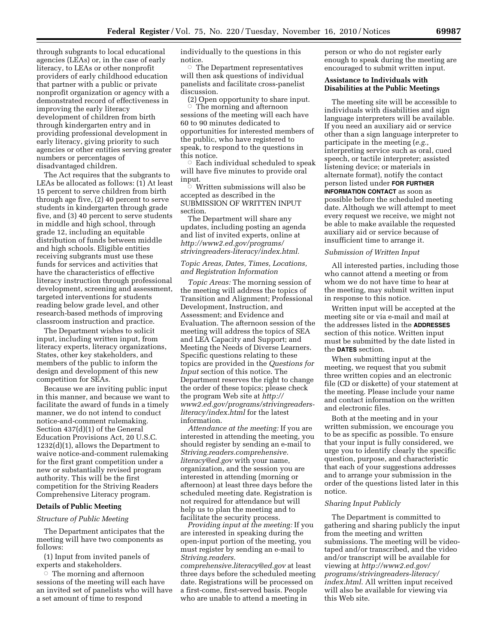through subgrants to local educational agencies (LEAs) or, in the case of early literacy, to LEAs or other nonprofit providers of early childhood education that partner with a public or private nonprofit organization or agency with a demonstrated record of effectiveness in improving the early literacy development of children from birth through kindergarten entry and in providing professional development in early literacy, giving priority to such agencies or other entities serving greater numbers or percentages of disadvantaged children.

The Act requires that the subgrants to LEAs be allocated as follows: (1) At least 15 percent to serve children from birth through age five, (2) 40 percent to serve students in kindergarten through grade five, and (3) 40 percent to serve students in middle and high school, through grade 12, including an equitable distribution of funds between middle and high schools. Eligible entities receiving subgrants must use these funds for services and activities that have the characteristics of effective literacy instruction through professional development, screening and assessment, targeted interventions for students reading below grade level, and other research-based methods of improving classroom instruction and practice.

The Department wishes to solicit input, including written input, from literacy experts, literacy organizations, States, other key stakeholders, and members of the public to inform the design and development of this new competition for SEAs.

Because we are inviting public input in this manner, and because we want to facilitate the award of funds in a timely manner, we do not intend to conduct notice-and-comment rulemaking. Section 437(d)(1) of the General Education Provisions Act, 20 U.S.C. 1232(d)(1), allows the Department to waive notice-and-comment rulemaking for the first grant competition under a new or substantially revised program authority. This will be the first competition for the Striving Readers Comprehensive Literacy program.

#### **Details of Public Meeting**

#### *Structure of Public Meeting*

The Department anticipates that the meeting will have two components as follows:

(1) Input from invited panels of experts and stakeholders.

 $\circ$  The morning and afternoon sessions of the meeting will each have an invited set of panelists who will have a set amount of time to respond

individually to the questions in this notice.

 $\circ$  The Department representatives will then ask questions of individual panelists and facilitate cross-panelist discussion.

(2) Open opportunity to share input.<br>○ The morning and afternoon

 The morning and afternoon sessions of the meeting will each have 60 to 90 minutes dedicated to opportunities for interested members of the public, who have registered to speak, to respond to the questions in this notice.

 $\circ$  Each individual scheduled to speak will have five minutes to provide oral input. Æ

 Written submissions will also be accepted as described in the SUBMISSION OF WRITTEN INPUT section.

The Department will share any updates, including posting an agenda and list of invited experts, online at *http://www2.ed.gov/programs/ [strivingreaders-literacy/index.html.](http://www2.ed.gov/programs/strivingreaders-literacy/index.html)* 

## *Topic Areas, Dates, Times, Locations, and Registration Information*

*Topic Areas:* The morning session of the meeting will address the topics of Transition and Alignment; Professional Development, Instruction, and Assessment; and Evidence and Evaluation. The afternoon session of the meeting will address the topics of SEA and LEA Capacity and Support; and Meeting the Needs of Diverse Learners. Specific questions relating to these topics are provided in the *Questions for Input* section of this notice. The Department reserves the right to change the order of these topics; please check the program Web site at *[http://](http://www2.ed.gov/programs/strivingreaders-literacy/index.html)  [www2.ed.gov/programs/strivingreaders](http://www2.ed.gov/programs/strivingreaders-literacy/index.html)[literacy/index.html](http://www2.ed.gov/programs/strivingreaders-literacy/index.html)* for the latest information.

*Attendance at the meeting:* If you are interested in attending the meeting, you should register by sending an e-mail to *Striving.readers.comprehensive. literacy@ed.gov* with your name, organization, and the session you are interested in attending (morning or afternoon) at least three days before the scheduled meeting date. Registration is not required for attendance but will help us to plan the meeting and to facilitate the security process.

*Providing input at the meeting:* If you are interested in speaking during the open-input portion of the meeting, you must register by sending an e-mail to *Striving.readers.*

*comprehensive.literacy@ed.gov* at least three days before the scheduled meeting date. Registrations will be processed on a first-come, first-served basis. People who are unable to attend a meeting in

person or who do not register early enough to speak during the meeting are encouraged to submit written input.

## **Assistance to Individuals with Disabilities at the Public Meetings**

The meeting site will be accessible to individuals with disabilities and sign language interpreters will be available. If you need an auxiliary aid or service other than a sign language interpreter to participate in the meeting (*e.g.,*  interpreting service such as oral, cued speech, or tactile interpreter; assisted listening device; or materials in alternate format), notify the contact person listed under **FOR FURTHER INFORMATION CONTACT** as soon as possible before the scheduled meeting date. Although we will attempt to meet every request we receive, we might not be able to make available the requested auxiliary aid or service because of insufficient time to arrange it.

#### *Submission of Written Input*

All interested parties, including those who cannot attend a meeting or from whom we do not have time to hear at the meeting, may submit written input in response to this notice.

Written input will be accepted at the meeting site or via e-mail and mail at the addresses listed in the **ADDRESSES** section of this notice. Written input must be submitted by the date listed in the **DATES** section.

When submitting input at the meeting, we request that you submit three written copies and an electronic file (CD or diskette) of your statement at the meeting. Please include your name and contact information on the written and electronic files.

Both at the meeting and in your written submission, we encourage you to be as specific as possible. To ensure that your input is fully considered, we urge you to identify clearly the specific question, purpose, and characteristic that each of your suggestions addresses and to arrange your submission in the order of the questions listed later in this notice.

## *Sharing Input Publicly*

The Department is committed to gathering and sharing publicly the input from the meeting and written submissions. The meeting will be videotaped and/or transcribed, and the video and/or transcript will be available for viewing at *[http://www2.ed.gov/](http://www2.ed.gov/programs/strivingreaders-literacy/index.html) [programs/strivingreaders-literacy/](http://www2.ed.gov/programs/strivingreaders-literacy/index.html) [index.html.](http://www2.ed.gov/programs/strivingreaders-literacy/index.html)* All written input received will also be available for viewing via this Web site.